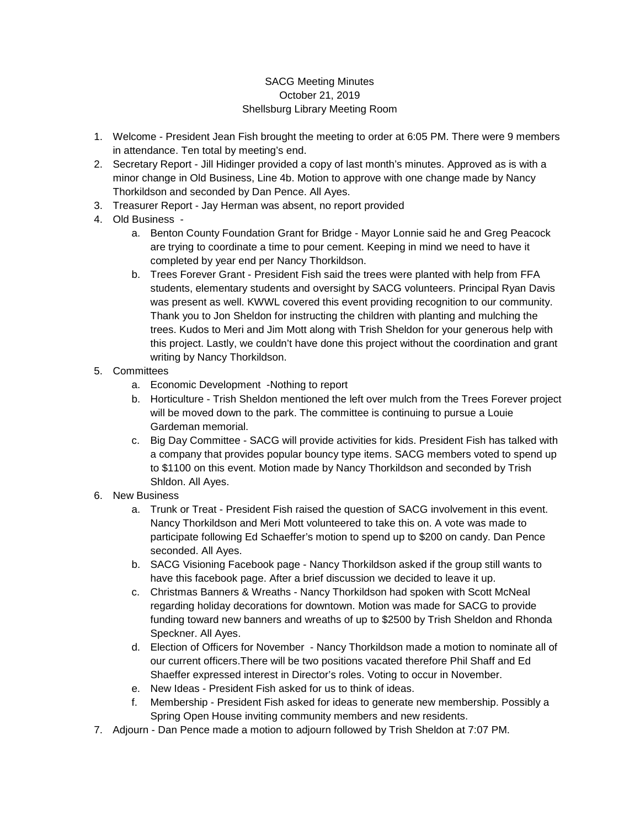## SACG Meeting Minutes October 21, 2019 Shellsburg Library Meeting Room

- 1. Welcome President Jean Fish brought the meeting to order at 6:05 PM. There were 9 members in attendance. Ten total by meeting's end.
- 2. Secretary Report Jill Hidinger provided a copy of last month's minutes. Approved as is with a minor change in Old Business, Line 4b. Motion to approve with one change made by Nancy Thorkildson and seconded by Dan Pence. All Ayes.
- 3. Treasurer Report Jay Herman was absent, no report provided
- 4. Old Business
	- a. Benton County Foundation Grant for Bridge Mayor Lonnie said he and Greg Peacock are trying to coordinate a time to pour cement. Keeping in mind we need to have it completed by year end per Nancy Thorkildson.
	- b. Trees Forever Grant President Fish said the trees were planted with help from FFA students, elementary students and oversight by SACG volunteers. Principal Ryan Davis was present as well. KWWL covered this event providing recognition to our community. Thank you to Jon Sheldon for instructing the children with planting and mulching the trees. Kudos to Meri and Jim Mott along with Trish Sheldon for your generous help with this project. Lastly, we couldn't have done this project without the coordination and grant writing by Nancy Thorkildson.
- 5. Committees
	- a. Economic Development -Nothing to report
	- b. Horticulture Trish Sheldon mentioned the left over mulch from the Trees Forever project will be moved down to the park. The committee is continuing to pursue a Louie Gardeman memorial.
	- c. Big Day Committee SACG will provide activities for kids. President Fish has talked with a company that provides popular bouncy type items. SACG members voted to spend up to \$1100 on this event. Motion made by Nancy Thorkildson and seconded by Trish Shldon. All Ayes.
- 6. New Business
	- a. Trunk or Treat President Fish raised the question of SACG involvement in this event. Nancy Thorkildson and Meri Mott volunteered to take this on. A vote was made to participate following Ed Schaeffer's motion to spend up to \$200 on candy. Dan Pence seconded. All Ayes.
	- b. SACG Visioning Facebook page Nancy Thorkildson asked if the group still wants to have this facebook page. After a brief discussion we decided to leave it up.
	- c. Christmas Banners & Wreaths Nancy Thorkildson had spoken with Scott McNeal regarding holiday decorations for downtown. Motion was made for SACG to provide funding toward new banners and wreaths of up to \$2500 by Trish Sheldon and Rhonda Speckner. All Ayes.
	- d. Election of Officers for November Nancy Thorkildson made a motion to nominate all of our current officers.There will be two positions vacated therefore Phil Shaff and Ed Shaeffer expressed interest in Director's roles. Voting to occur in November.
	- e. New Ideas President Fish asked for us to think of ideas.
	- f. Membership President Fish asked for ideas to generate new membership. Possibly a Spring Open House inviting community members and new residents.
- 7. Adjourn Dan Pence made a motion to adjourn followed by Trish Sheldon at 7:07 PM.